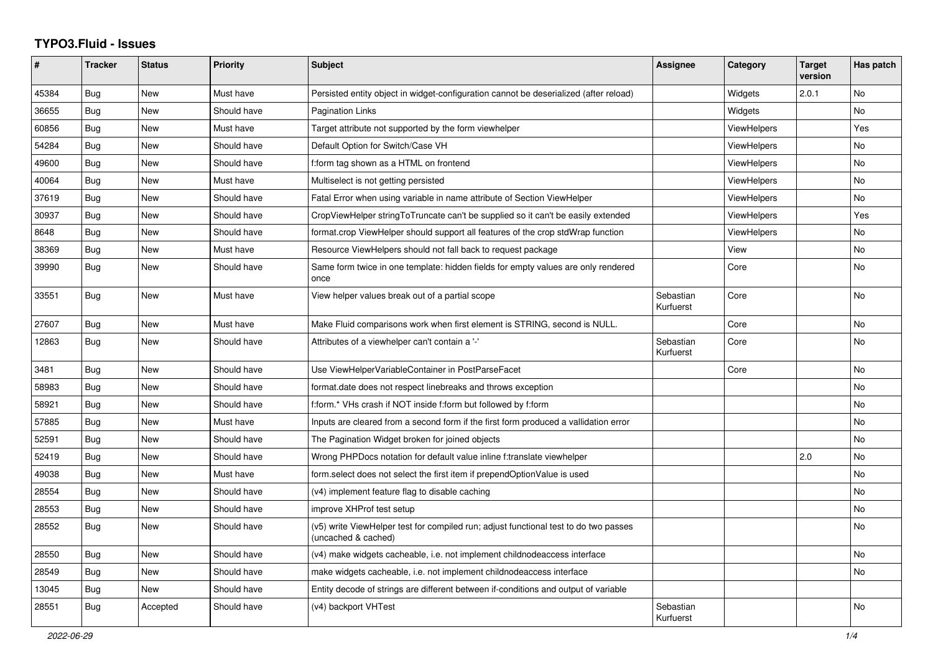## **TYPO3.Fluid - Issues**

| #     | <b>Tracker</b> | <b>Status</b> | <b>Priority</b> | <b>Subject</b>                                                                                              | Assignee               | Category           | <b>Target</b><br>version | Has patch      |
|-------|----------------|---------------|-----------------|-------------------------------------------------------------------------------------------------------------|------------------------|--------------------|--------------------------|----------------|
| 45384 | <b>Bug</b>     | New           | Must have       | Persisted entity object in widget-configuration cannot be deserialized (after reload)                       |                        | Widgets            | 2.0.1                    | <b>No</b>      |
| 36655 | Bug            | New           | Should have     | <b>Pagination Links</b>                                                                                     |                        | Widgets            |                          | <b>No</b>      |
| 60856 | Bug            | <b>New</b>    | Must have       | Target attribute not supported by the form viewhelper                                                       |                        | <b>ViewHelpers</b> |                          | Yes            |
| 54284 | Bug            | <b>New</b>    | Should have     | Default Option for Switch/Case VH                                                                           |                        | <b>ViewHelpers</b> |                          | <b>No</b>      |
| 49600 | <b>Bug</b>     | <b>New</b>    | Should have     | f:form tag shown as a HTML on frontend                                                                      |                        | <b>ViewHelpers</b> |                          | <b>No</b>      |
| 40064 | Bug            | New           | Must have       | Multiselect is not getting persisted                                                                        |                        | <b>ViewHelpers</b> |                          | N <sub>o</sub> |
| 37619 | Bug            | <b>New</b>    | Should have     | Fatal Error when using variable in name attribute of Section ViewHelper                                     |                        | ViewHelpers        |                          | No             |
| 30937 | Bug            | New           | Should have     | CropViewHelper stringToTruncate can't be supplied so it can't be easily extended                            |                        | <b>ViewHelpers</b> |                          | Yes            |
| 8648  | Bug            | New           | Should have     | format.crop ViewHelper should support all features of the crop stdWrap function                             |                        | ViewHelpers        |                          | No             |
| 38369 | Bug            | <b>New</b>    | Must have       | Resource ViewHelpers should not fall back to request package                                                |                        | View               |                          | No             |
| 39990 | <b>Bug</b>     | New           | Should have     | Same form twice in one template: hidden fields for empty values are only rendered<br>once                   |                        | Core               |                          | <b>No</b>      |
| 33551 | <b>Bug</b>     | <b>New</b>    | Must have       | View helper values break out of a partial scope                                                             | Sebastian<br>Kurfuerst | Core               |                          | <b>No</b>      |
| 27607 | Bug            | New           | Must have       | Make Fluid comparisons work when first element is STRING, second is NULL.                                   |                        | Core               |                          | N <sub>o</sub> |
| 12863 | Bug            | New           | Should have     | Attributes of a viewhelper can't contain a '-'                                                              | Sebastian<br>Kurfuerst | Core               |                          | No             |
| 3481  | Bug            | New           | Should have     | Use ViewHelperVariableContainer in PostParseFacet                                                           |                        | Core               |                          | <b>No</b>      |
| 58983 | Bug            | New           | Should have     | format.date does not respect linebreaks and throws exception                                                |                        |                    |                          | No             |
| 58921 | <b>Bug</b>     | <b>New</b>    | Should have     | f:form.* VHs crash if NOT inside f:form but followed by f:form                                              |                        |                    |                          | No             |
| 57885 | Bug            | New           | Must have       | Inputs are cleared from a second form if the first form produced a vallidation error                        |                        |                    |                          | <b>No</b>      |
| 52591 | Bug            | <b>New</b>    | Should have     | The Pagination Widget broken for joined objects                                                             |                        |                    |                          | <b>No</b>      |
| 52419 | Bug            | New           | Should have     | Wrong PHPDocs notation for default value inline f:translate viewhelper                                      |                        |                    | 2.0                      | <b>No</b>      |
| 49038 | <b>Bug</b>     | <b>New</b>    | Must have       | form.select does not select the first item if prependOptionValue is used                                    |                        |                    |                          | <b>No</b>      |
| 28554 | Bug            | New           | Should have     | (v4) implement feature flag to disable caching                                                              |                        |                    |                          | No             |
| 28553 | <b>Bug</b>     | New           | Should have     | improve XHProf test setup                                                                                   |                        |                    |                          | No             |
| 28552 | Bug            | New           | Should have     | (v5) write ViewHelper test for compiled run; adjust functional test to do two passes<br>(uncached & cached) |                        |                    |                          | <b>No</b>      |
| 28550 | <b>Bug</b>     | New           | Should have     | (v4) make widgets cacheable, i.e. not implement childnodeaccess interface                                   |                        |                    |                          | <b>No</b>      |
| 28549 | <b>Bug</b>     | <b>New</b>    | Should have     | make widgets cacheable, i.e. not implement childnodeaccess interface                                        |                        |                    |                          | <b>No</b>      |
| 13045 | Bug            | New           | Should have     | Entity decode of strings are different between if-conditions and output of variable                         |                        |                    |                          |                |
| 28551 | <b>Bug</b>     | Accepted      | Should have     | (v4) backport VHTest                                                                                        | Sebastian<br>Kurfuerst |                    |                          | <b>No</b>      |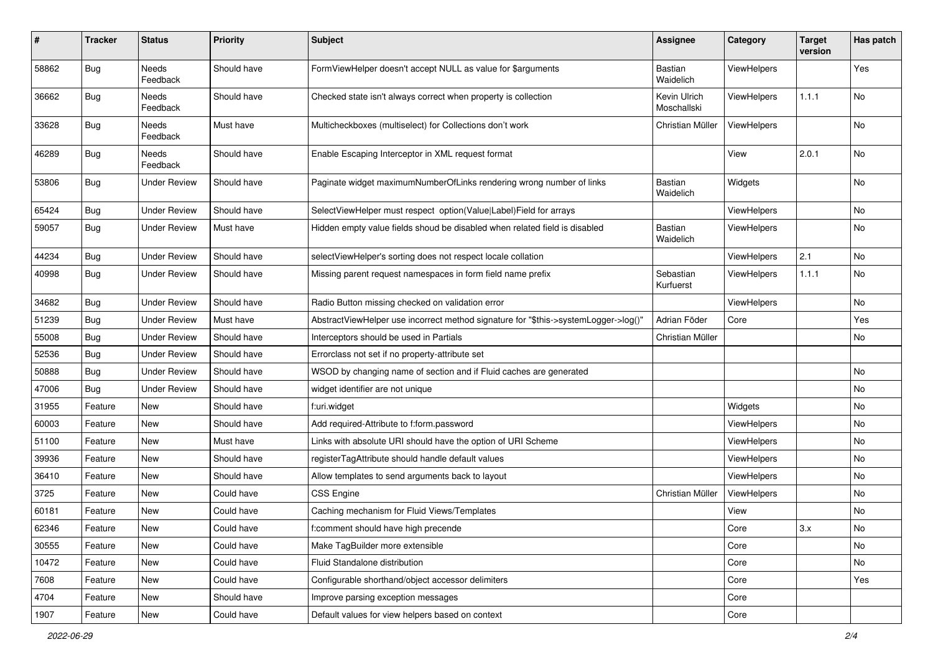| #     | Tracker    | <b>Status</b>            | <b>Priority</b> | Subject                                                                             | Assignee                    | Category           | <b>Target</b><br>version | Has patch |
|-------|------------|--------------------------|-----------------|-------------------------------------------------------------------------------------|-----------------------------|--------------------|--------------------------|-----------|
| 58862 | Bug        | <b>Needs</b><br>Feedback | Should have     | FormViewHelper doesn't accept NULL as value for \$arguments                         | Bastian<br>Waidelich        | ViewHelpers        |                          | Yes       |
| 36662 | Bug        | Needs<br>Feedback        | Should have     | Checked state isn't always correct when property is collection                      | Kevin Ulrich<br>Moschallski | <b>ViewHelpers</b> | 1.1.1                    | No        |
| 33628 | Bug        | Needs<br>Feedback        | Must have       | Multicheckboxes (multiselect) for Collections don't work                            | Christian Müller            | <b>ViewHelpers</b> |                          | No        |
| 46289 | <b>Bug</b> | Needs<br>Feedback        | Should have     | Enable Escaping Interceptor in XML request format                                   |                             | View               | 2.0.1                    | No        |
| 53806 | Bug        | Under Review             | Should have     | Paginate widget maximumNumberOfLinks rendering wrong number of links                | <b>Bastian</b><br>Waidelich | Widgets            |                          | No        |
| 65424 | <b>Bug</b> | <b>Under Review</b>      | Should have     | SelectViewHelper must respect option(Value Label)Field for arrays                   |                             | ViewHelpers        |                          | No        |
| 59057 | <b>Bug</b> | Under Review             | Must have       | Hidden empty value fields shoud be disabled when related field is disabled          | <b>Bastian</b><br>Waidelich | ViewHelpers        |                          | No        |
| 44234 | Bug        | <b>Under Review</b>      | Should have     | selectViewHelper's sorting does not respect locale collation                        |                             | ViewHelpers        | 2.1                      | No        |
| 40998 | <b>Bug</b> | <b>Under Review</b>      | Should have     | Missing parent request namespaces in form field name prefix                         | Sebastian<br>Kurfuerst      | <b>ViewHelpers</b> | 1.1.1                    | <b>No</b> |
| 34682 | <b>Bug</b> | <b>Under Review</b>      | Should have     | Radio Button missing checked on validation error                                    |                             | ViewHelpers        |                          | No        |
| 51239 | <b>Bug</b> | <b>Under Review</b>      | Must have       | AbstractViewHelper use incorrect method signature for "\$this->systemLogger->log()" | Adrian Föder                | Core               |                          | Yes       |
| 55008 | Bug        | <b>Under Review</b>      | Should have     | Interceptors should be used in Partials                                             | Christian Müller            |                    |                          | No        |
| 52536 | <b>Bug</b> | <b>Under Review</b>      | Should have     | Errorclass not set if no property-attribute set                                     |                             |                    |                          |           |
| 50888 | Bug        | <b>Under Review</b>      | Should have     | WSOD by changing name of section and if Fluid caches are generated                  |                             |                    |                          | No        |
| 47006 | Bug        | Under Review             | Should have     | widget identifier are not unique                                                    |                             |                    |                          | No        |
| 31955 | Feature    | New                      | Should have     | f:uri.widget                                                                        |                             | Widgets            |                          | No        |
| 60003 | Feature    | New                      | Should have     | Add required-Attribute to f:form.password                                           |                             | <b>ViewHelpers</b> |                          | No        |
| 51100 | Feature    | New                      | Must have       | Links with absolute URI should have the option of URI Scheme                        |                             | ViewHelpers        |                          | No.       |
| 39936 | Feature    | New                      | Should have     | registerTagAttribute should handle default values                                   |                             | ViewHelpers        |                          | No        |
| 36410 | Feature    | New                      | Should have     | Allow templates to send arguments back to layout                                    |                             | ViewHelpers        |                          | No        |
| 3725  | Feature    | New                      | Could have      | CSS Engine                                                                          | Christian Müller            | ViewHelpers        |                          | No        |
| 60181 | Feature    | New                      | Could have      | Caching mechanism for Fluid Views/Templates                                         |                             | View               |                          | No        |
| 62346 | Feature    | New                      | Could have      | f:comment should have high precende                                                 |                             | Core               | 3.x                      | No        |
| 30555 | Feature    | New                      | Could have      | Make TagBuilder more extensible                                                     |                             | Core               |                          | No        |
| 10472 | Feature    | New                      | Could have      | Fluid Standalone distribution                                                       |                             | Core               |                          | No        |
| 7608  | Feature    | New                      | Could have      | Configurable shorthand/object accessor delimiters                                   |                             | Core               |                          | Yes       |
| 4704  | Feature    | New                      | Should have     | Improve parsing exception messages                                                  |                             | Core               |                          |           |
| 1907  | Feature    | New                      | Could have      | Default values for view helpers based on context                                    |                             | Core               |                          |           |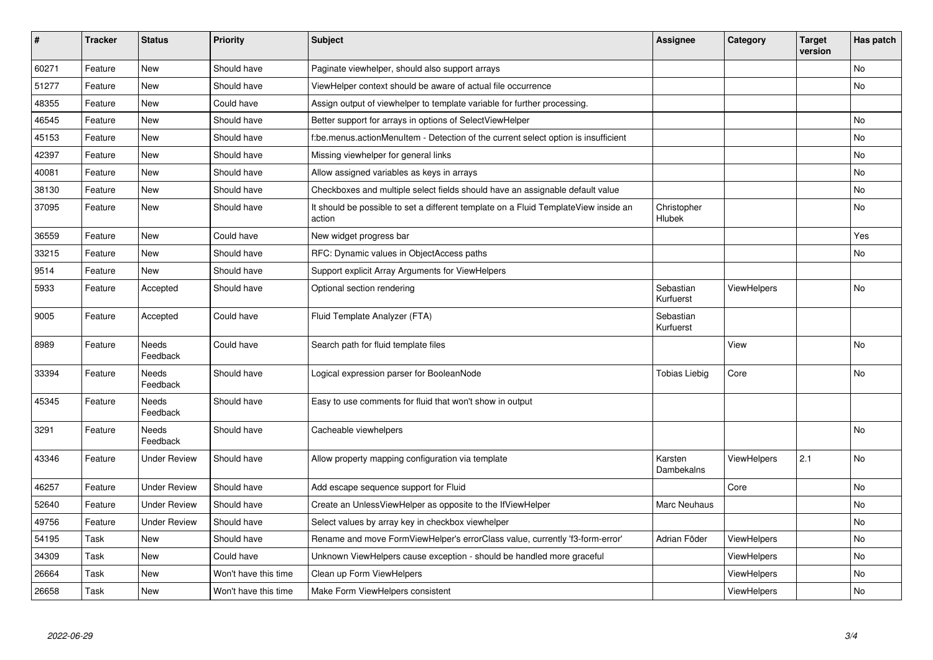| $\pmb{\#}$ | <b>Tracker</b> | <b>Status</b>       | <b>Priority</b>      | <b>Subject</b>                                                                                | Assignee                     | Category           | <b>Target</b><br>version | Has patch |
|------------|----------------|---------------------|----------------------|-----------------------------------------------------------------------------------------------|------------------------------|--------------------|--------------------------|-----------|
| 60271      | Feature        | <b>New</b>          | Should have          | Paginate viewhelper, should also support arrays                                               |                              |                    |                          | <b>No</b> |
| 51277      | Feature        | New                 | Should have          | ViewHelper context should be aware of actual file occurrence                                  |                              |                    |                          | No        |
| 48355      | Feature        | New                 | Could have           | Assign output of viewhelper to template variable for further processing.                      |                              |                    |                          |           |
| 46545      | Feature        | <b>New</b>          | Should have          | Better support for arrays in options of SelectViewHelper                                      |                              |                    |                          | <b>No</b> |
| 45153      | Feature        | New                 | Should have          | f:be.menus.actionMenuItem - Detection of the current select option is insufficient            |                              |                    |                          | No        |
| 42397      | Feature        | New                 | Should have          | Missing viewhelper for general links                                                          |                              |                    |                          | No        |
| 40081      | Feature        | New                 | Should have          | Allow assigned variables as keys in arrays                                                    |                              |                    |                          | <b>No</b> |
| 38130      | Feature        | <b>New</b>          | Should have          | Checkboxes and multiple select fields should have an assignable default value                 |                              |                    |                          | No        |
| 37095      | Feature        | New                 | Should have          | It should be possible to set a different template on a Fluid TemplateView inside an<br>action | Christopher<br><b>Hlubek</b> |                    |                          | No        |
| 36559      | Feature        | <b>New</b>          | Could have           | New widget progress bar                                                                       |                              |                    |                          | Yes       |
| 33215      | Feature        | New                 | Should have          | RFC: Dynamic values in ObjectAccess paths                                                     |                              |                    |                          | No        |
| 9514       | Feature        | <b>New</b>          | Should have          | Support explicit Array Arguments for ViewHelpers                                              |                              |                    |                          |           |
| 5933       | Feature        | Accepted            | Should have          | Optional section rendering                                                                    | Sebastian<br>Kurfuerst       | <b>ViewHelpers</b> |                          | No        |
| 9005       | Feature        | Accepted            | Could have           | Fluid Template Analyzer (FTA)                                                                 | Sebastian<br>Kurfuerst       |                    |                          |           |
| 8989       | Feature        | Needs<br>Feedback   | Could have           | Search path for fluid template files                                                          |                              | View               |                          | No        |
| 33394      | Feature        | Needs<br>Feedback   | Should have          | Logical expression parser for BooleanNode                                                     | Tobias Liebig                | Core               |                          | No        |
| 45345      | Feature        | Needs<br>Feedback   | Should have          | Easy to use comments for fluid that won't show in output                                      |                              |                    |                          |           |
| 3291       | Feature        | Needs<br>Feedback   | Should have          | Cacheable viewhelpers                                                                         |                              |                    |                          | <b>No</b> |
| 43346      | Feature        | <b>Under Review</b> | Should have          | Allow property mapping configuration via template                                             | Karsten<br>Dambekalns        | <b>ViewHelpers</b> | 2.1                      | No        |
| 46257      | Feature        | <b>Under Review</b> | Should have          | Add escape sequence support for Fluid                                                         |                              | Core               |                          | <b>No</b> |
| 52640      | Feature        | <b>Under Review</b> | Should have          | Create an UnlessViewHelper as opposite to the IfViewHelper                                    | Marc Neuhaus                 |                    |                          | No        |
| 49756      | Feature        | <b>Under Review</b> | Should have          | Select values by array key in checkbox viewhelper                                             |                              |                    |                          | No        |
| 54195      | Task           | New                 | Should have          | Rename and move FormViewHelper's errorClass value, currently 'f3-form-error'                  | Adrian Föder                 | ViewHelpers        |                          | No        |
| 34309      | Task           | New                 | Could have           | Unknown ViewHelpers cause exception - should be handled more graceful                         |                              | <b>ViewHelpers</b> |                          | No        |
| 26664      | Task           | <b>New</b>          | Won't have this time | Clean up Form ViewHelpers                                                                     |                              | ViewHelpers        |                          | No        |
| 26658      | Task           | <b>New</b>          | Won't have this time | Make Form ViewHelpers consistent                                                              |                              | ViewHelpers        |                          | No        |